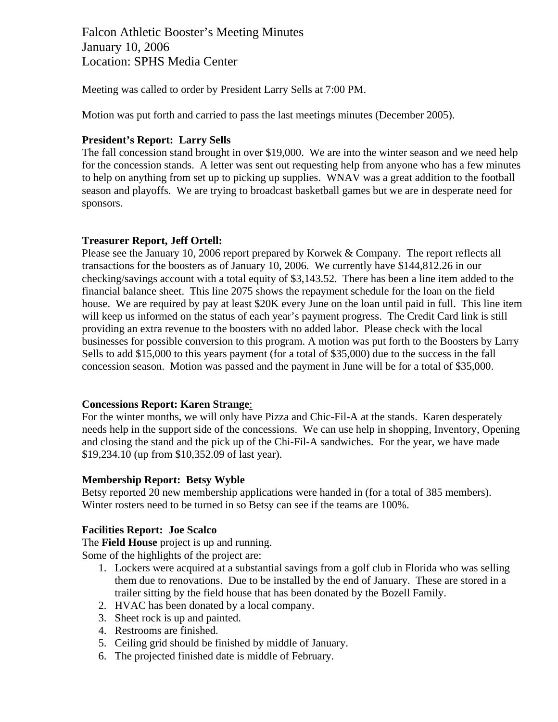Falcon Athletic Booster's Meeting Minutes January 10, 2006 Location: SPHS Media Center

Meeting was called to order by President Larry Sells at 7:00 PM.

Motion was put forth and carried to pass the last meetings minutes (December 2005).

# **President's Report: Larry Sells**

The fall concession stand brought in over \$19,000. We are into the winter season and we need help for the concession stands. A letter was sent out requesting help from anyone who has a few minutes to help on anything from set up to picking up supplies. WNAV was a great addition to the football season and playoffs. We are trying to broadcast basketball games but we are in desperate need for sponsors.

## **Treasurer Report, Jeff Ortell:**

Please see the January 10, 2006 report prepared by Korwek & Company. The report reflects all transactions for the boosters as of January 10, 2006. We currently have \$144,812.26 in our checking/savings account with a total equity of \$3,143.52. There has been a line item added to the financial balance sheet. This line 2075 shows the repayment schedule for the loan on the field house. We are required by pay at least \$20K every June on the loan until paid in full. This line item will keep us informed on the status of each year's payment progress. The Credit Card link is still providing an extra revenue to the boosters with no added labor. Please check with the local businesses for possible conversion to this program. A motion was put forth to the Boosters by Larry Sells to add \$15,000 to this years payment (for a total of \$35,000) due to the success in the fall concession season. Motion was passed and the payment in June will be for a total of \$35,000.

#### **Concessions Report: Karen Strange**:

For the winter months, we will only have Pizza and Chic-Fil-A at the stands. Karen desperately needs help in the support side of the concessions. We can use help in shopping, Inventory, Opening and closing the stand and the pick up of the Chi-Fil-A sandwiches. For the year, we have made \$19,234.10 (up from \$10,352.09 of last year).

#### **Membership Report: Betsy Wyble**

Betsy reported 20 new membership applications were handed in (for a total of 385 members). Winter rosters need to be turned in so Betsy can see if the teams are 100%.

#### **Facilities Report: Joe Scalco**

The **Field House** project is up and running.

Some of the highlights of the project are:

- 1. Lockers were acquired at a substantial savings from a golf club in Florida who was selling them due to renovations. Due to be installed by the end of January. These are stored in a trailer sitting by the field house that has been donated by the Bozell Family.
- 2. HVAC has been donated by a local company.
- 3. Sheet rock is up and painted.
- 4. Restrooms are finished.
- 5. Ceiling grid should be finished by middle of January.
- 6. The projected finished date is middle of February.